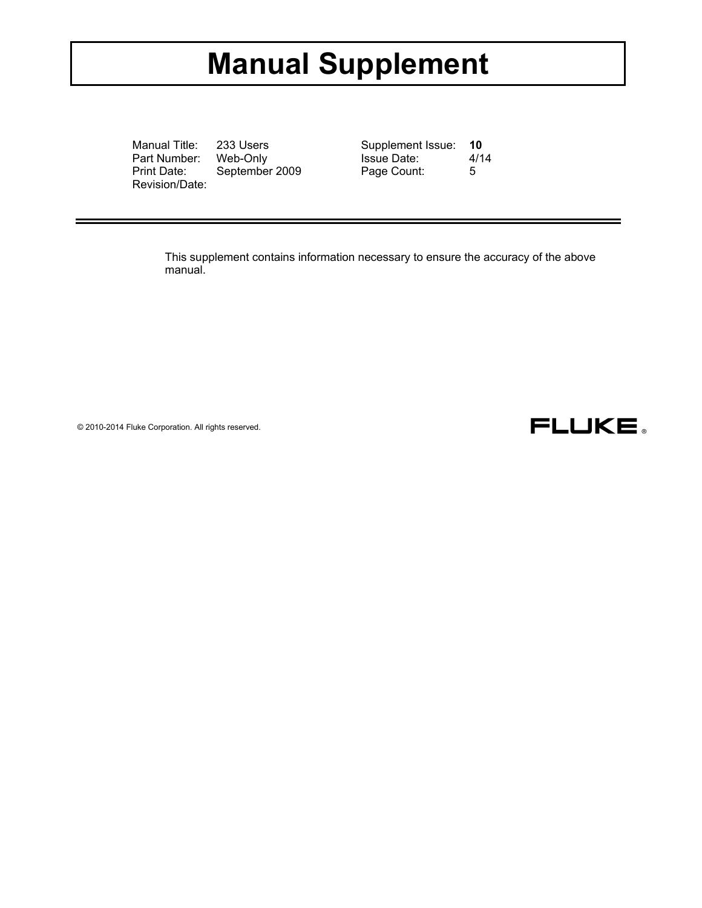# **Manual Supplement**

Manual Title: 233 Users Part Number: Web-Only Print Date: September 2009 Revision/Date:

| Supplement Issue:  | 10   |
|--------------------|------|
| <b>Issue Date:</b> | 4/14 |
| Page Count:        | 5    |

This supplement contains information necessary to ensure the accuracy of the above manual.

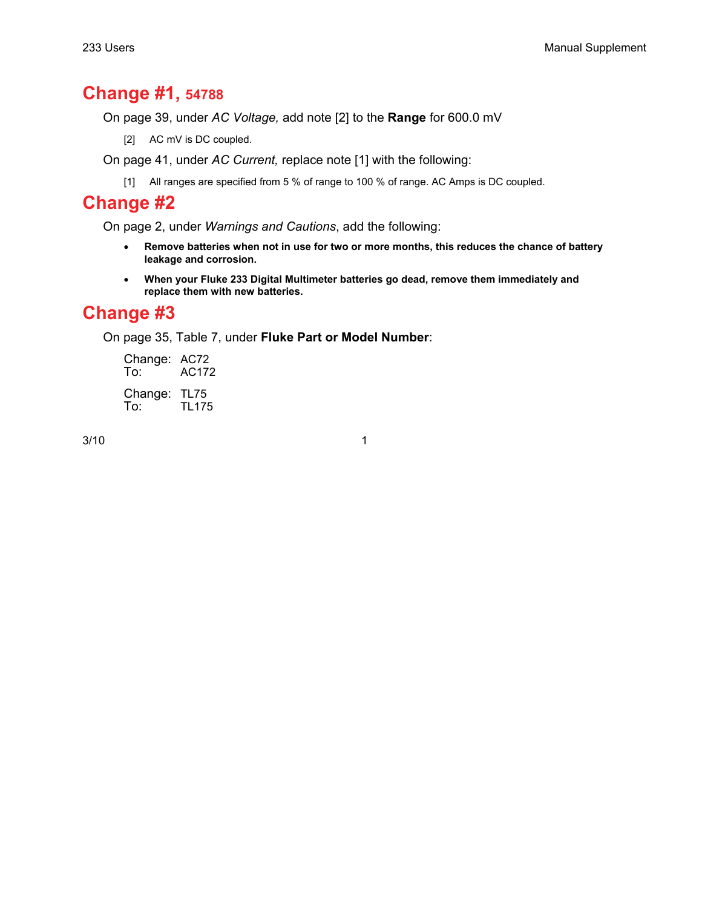### **Change #1, 54788**

On page 39, under *AC Voltage,* add note [2] to the **Range** for 600.0 mV

[2] AC mV is DC coupled.

On page 41, under *AC Current,* replace note [1] with the following:

[1] All ranges are specified from 5 % of range to 100 % of range. AC Amps is DC coupled.

### **Change #2**

On page 2, under *Warnings and Cautions*, add the following:

- **Remove batteries when not in use for two or more months, this reduces the chance of battery leakage and corrosion.**
- **When your Fluke 233 Digital Multimeter batteries go dead, remove them immediately and replace them with new batteries.**

## **Change #3**

On page 35, Table 7, under **Fluke Part or Model Number**:

Change: AC72<br>To: AC172 AC172 Change: TL75<br>To: TL17 TL175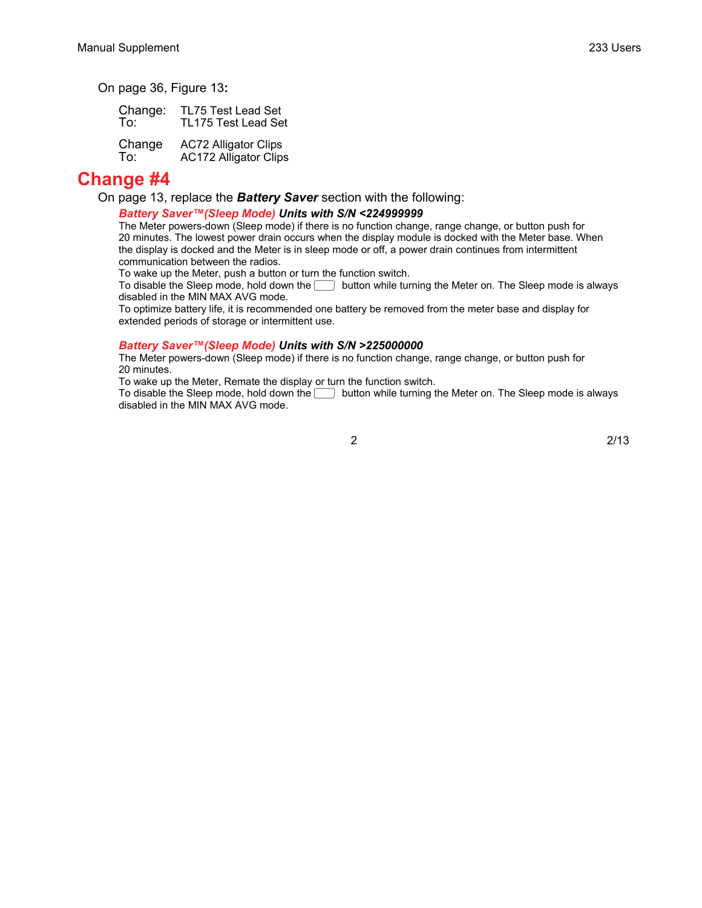On page 36, Figure 13**:**

 Change: TL75 Test Lead Set To: TL175 Test Lead Set Change AC72 Alligator Clips To: AC172 Alligator Clips

### **Change #4**

On page 13, replace the *Battery Saver* section with the following:

#### *Battery Saver™(Sleep Mode) Units with S/N <224999999*

The Meter powers-down (Sleep mode) if there is no function change, range change, or button push for 20 minutes. The lowest power drain occurs when the display module is docked with the Meter base. When the display is docked and the Meter is in sleep mode or off, a power drain continues from intermittent communication between the radios.

To wake up the Meter, push a button or turn the function switch.

To disable the Sleep mode, hold down the  $\Box$  button while turning the Meter on. The Sleep mode is always disabled in the MIN MAX AVG mode.

To optimize battery life, it is recommended one battery be removed from the meter base and display for extended periods of storage or intermittent use.

#### *Battery Saver™(Sleep Mode) Units with S/N >225000000*

The Meter powers-down (Sleep mode) if there is no function change, range change, or button push for 20 minutes.

To wake up the Meter, Remate the display or turn the function switch.

To disable the Sleep mode, hold down the  $\Box$  button while turning the Meter on. The Sleep mode is always disabled in the MIN MAX AVG mode.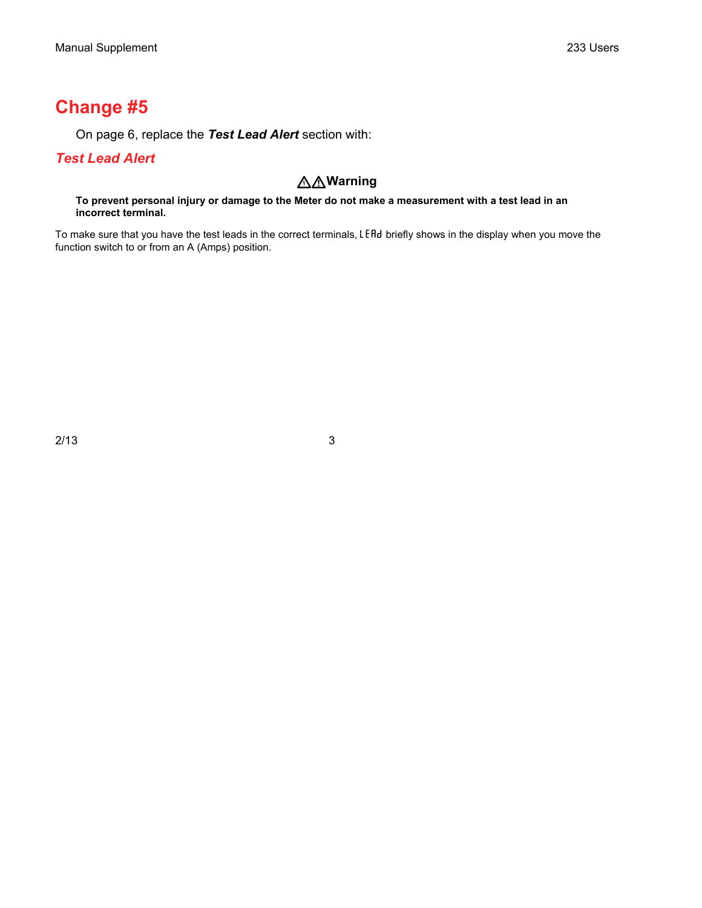# **Change #5**

On page 6, replace the *Test Lead Alert* section with:

### *Test Lead Alert*

### **Warning**

**To prevent personal injury or damage to the Meter do not make a measurement with a test lead in an incorrect terminal.** 

To make sure that you have the test leads in the correct terminals, LEAd briefly shows in the display when you move the function switch to or from an A (Amps) position.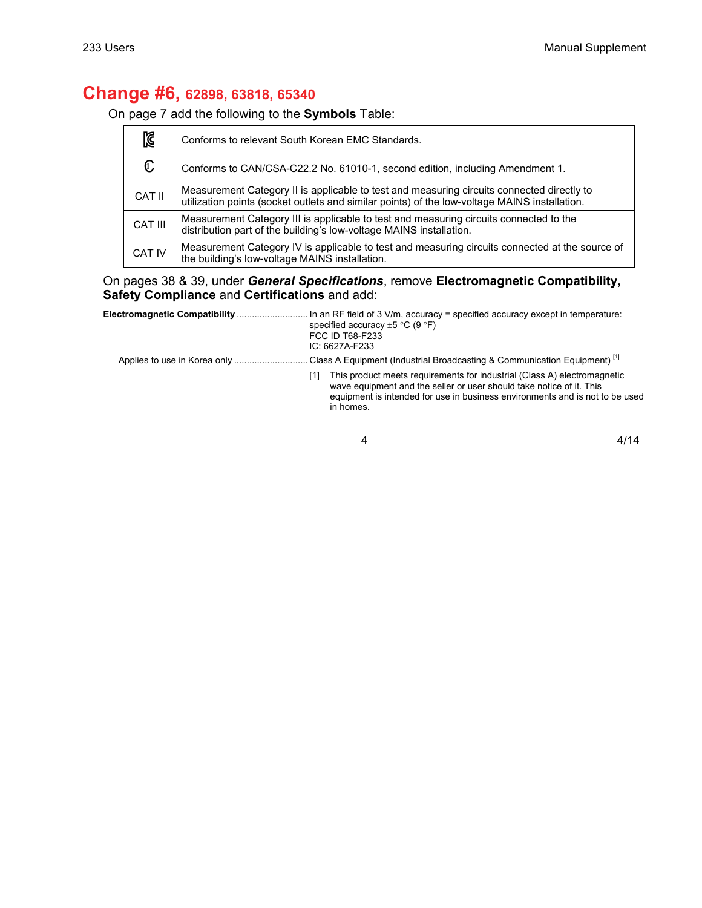### **Change #6, 62898, 63818, 65340**

On page 7 add the following to the **Symbols** Table:

| K              | Conforms to relevant South Korean EMC Standards.                                                                                                                                            |
|----------------|---------------------------------------------------------------------------------------------------------------------------------------------------------------------------------------------|
| $\mathbb{C}$   | Conforms to CAN/CSA-C22.2 No. 61010-1, second edition, including Amendment 1.                                                                                                               |
| CAT II         | Measurement Category II is applicable to test and measuring circuits connected directly to<br>utilization points (socket outlets and similar points) of the low-voltage MAINS installation. |
| <b>CAT III</b> | Measurement Category III is applicable to test and measuring circuits connected to the<br>distribution part of the building's low-voltage MAINS installation.                               |
| <b>CAT IV</b>  | Measurement Category IV is applicable to test and measuring circuits connected at the source of<br>the building's low-voltage MAINS installation.                                           |

On pages 38 & 39, under *General Specifications*, remove **Electromagnetic Compatibility, Safety Compliance** and **Certifications** and add:

| specified accuracy $\pm 5$ °C (9 °F)<br><b>FCC ID T68-F233</b><br>$IC: 6627A-F233$                                                                                                                                                                   |
|------------------------------------------------------------------------------------------------------------------------------------------------------------------------------------------------------------------------------------------------------|
| Applies to use in Korea only Class A Equipment (Industrial Broadcasting & Communication Equipment) <sup>[1]</sup>                                                                                                                                    |
| This product meets requirements for industrial (Class A) electromagnetic<br>[1]<br>wave equipment and the seller or user should take notice of it. This<br>equipment is intended for use in business environments and is not to be used<br>in homes. |